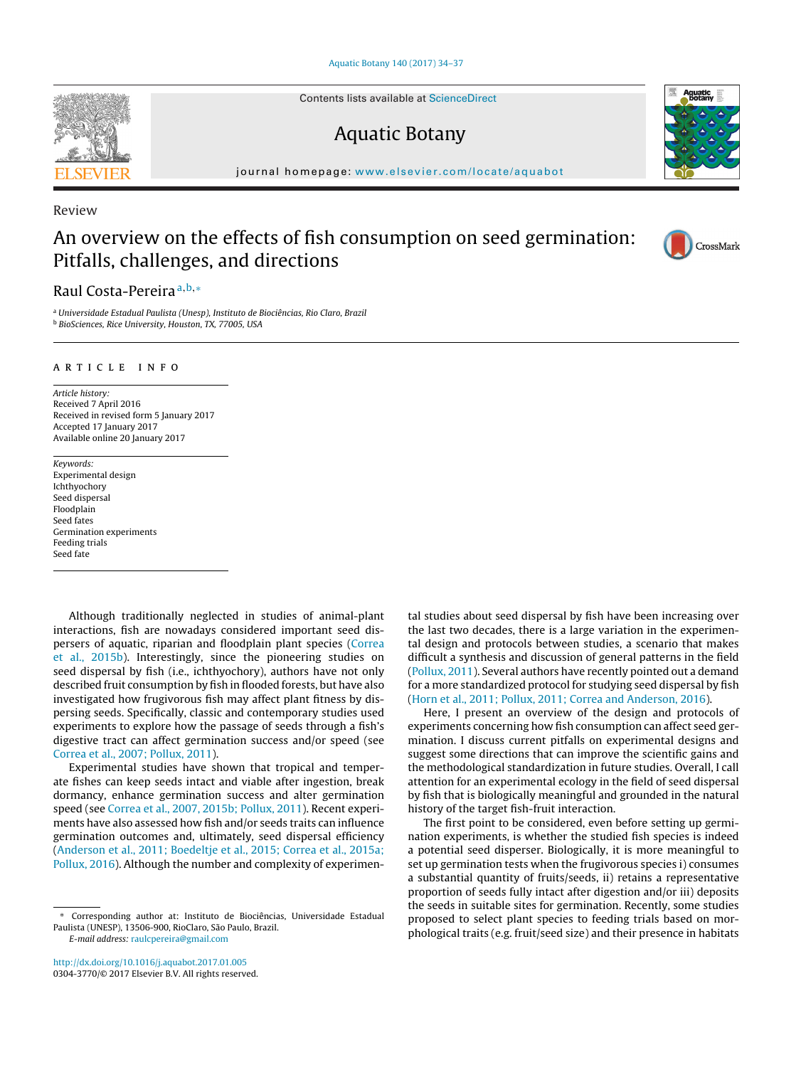Contents lists available at [ScienceDirect](http://www.sciencedirect.com/science/journal/03043770)

# Aquatic Botany



jour nal home page: [www.elsevier.com/locate/aquabot](http://www.elsevier.com/locate/aquabot)

### Review

## An overview on the effects of fish consumption on seed germination: Pitfalls, challenges, and directions



## Raul Costa-Pereira<sup>a,b,</sup>\*

<sup>a</sup> Universidade Estadual Paulista (Unesp), Instituto de Biociências, Rio Claro, Brazil <sup>b</sup> BioSciences, Rice University, Houston, TX, 77005, USA

### a r t i c l e i n f o

Article history: Received 7 April 2016 Received in revised form 5 January 2017 Accepted 17 January 2017 Available online 20 January 2017

Keywords: Experimental design Ichthyochory Seed dispersal Floodplain Seed fates Germination experiments Feeding trials Seed fate

Although traditionally neglected in studies of animal-plant interactions, fish are nowadays considered important seed dispersers of aquatic, riparian and floodplain plant species [\(Correa](#page-2-0) et [al.,](#page-2-0) [2015b\).](#page-2-0) Interestingly, since the pioneering studies on seed dispersal by fish (i.e., ichthyochory), authors have not only described fruit consumption by fish in flooded forests, but have also investigated how frugivorous fish may affect plant fitness by dispersing seeds. Specifically, classic and contemporary studies used experiments to explore how the passage of seeds through a fish's digestive tract can affect germination success and/or speed (see [Correa](#page-2-0) et [al.,](#page-2-0) [2007;](#page-2-0) [Pollux,](#page-2-0) [2011\).](#page-2-0)

Experimental studies have shown that tropical and temperate fishes can keep seeds intact and viable after ingestion, break dormancy, enhance germination success and alter germination speed (see [Correa](#page-2-0) et [al.,](#page-2-0) [2007,](#page-2-0) [2015b;](#page-2-0) [Pollux,](#page-2-0) [2011\).](#page-2-0) Recent experiments have also assessed how fish and/or seeds traits can influence germination outcomes and, ultimately, seed dispersal efficiency ([Anderson](#page-2-0) et [al.,](#page-2-0) [2011;](#page-2-0) [Boedeltje](#page-2-0) et [al.,](#page-2-0) [2015;](#page-2-0) [Correa](#page-2-0) et [al.,](#page-2-0) [2015a;](#page-2-0) [Pollux,](#page-2-0) [2016\).](#page-2-0) Although the number and complexity of experimen-

E-mail address: [raulcpereira@gmail.com](mailto:raulcpereira@gmail.com)

[http://dx.doi.org/10.1016/j.aquabot.2017.01.005](dx.doi.org/10.1016/j.aquabot.2017.01.005) 0304-3770/© 2017 Elsevier B.V. All rights reserved.

tal studies about seed dispersal by fish have been increasing over the last two decades, there is a large variation in the experimental design and protocols between studies, a scenario that makes difficult a synthesis and discussion of general patterns in the field [\(Pollux,](#page-3-0) [2011\).](#page-3-0) Several authors have recently pointed out a demand for a more standardized protocol for studying seed dispersal by fish [\(Horn](#page-2-0) et [al.,](#page-2-0) [2011;](#page-2-0) [Pollux,](#page-2-0) [2011;](#page-2-0) [Correa](#page-2-0) [and](#page-2-0) [Anderson,](#page-2-0) [2016\).](#page-2-0)

Here, I present an overview of the design and protocols of experiments concerning how fish consumption can affect seed germination. I discuss current pitfalls on experimental designs and suggest some directions that can improve the scientific gains and the methodological standardization in future studies. Overall, I call attention for an experimental ecology in the field of seed dispersal by fish that is biologically meaningful and grounded in the natural history of the target fish-fruit interaction.

The first point to be considered, even before setting up germination experiments, is whether the studied fish species is indeed a potential seed disperser. Biologically, it is more meaningful to set up germination tests when the frugivorous species i) consumes a substantial quantity of fruits/seeds, ii) retains a representative proportion of seeds fully intact after digestion and/or iii) deposits the seeds in suitable sites for germination. Recently, some studies proposed to select plant species to feeding trials based on morphological traits (e.g. fruit/seed size) and their presence in habitats



<sup>∗</sup> Corresponding author at: Instituto de Biociências, Universidade Estadual Paulista (UNESP), 13506-900, RioClaro, São Paulo, Brazil.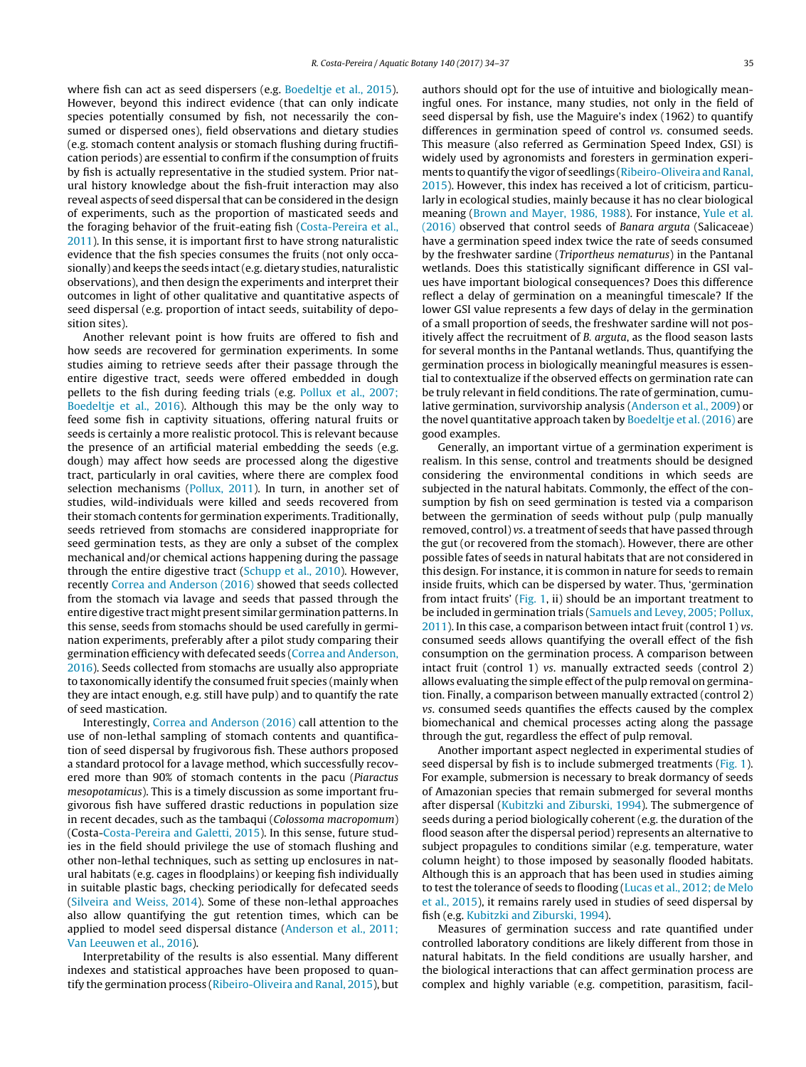where fish can act as seed dispersers (e.g. [Boedeltje](#page-2-0) et [al.,](#page-2-0) [2015\).](#page-2-0) However, beyond this indirect evidence (that can only indicate species potentially consumed by fish, not necessarily the consumed or dispersed ones), field observations and dietary studies (e.g. stomach content analysis or stomach flushing during fructification periods) are essential to confirm if the consumption of fruits by fish is actually representative in the studied system. Prior natural history knowledge about the fish-fruit interaction may also reveal aspects of seed dispersal that can be considered in the design of experiments, such as the proportion of masticated seeds and the foraging behavior of the fruit-eating fish ([Costa-Pereira](#page-2-0) et [al.,](#page-2-0) [2011\).](#page-2-0) In this sense, it is important first to have strong naturalistic evidence that the fish species consumes the fruits (not only occasionally) and keeps the seeds intact(e.g. dietary studies, naturalistic observations), and then design the experiments and interpret their outcomes in light of other qualitative and quantitative aspects of seed dispersal (e.g. proportion of intact seeds, suitability of deposition sites).

Another relevant point is how fruits are offered to fish and how seeds are recovered for germination experiments. In some studies aiming to retrieve seeds after their passage through the entire digestive tract, seeds were offered embedded in dough pellets to the fish during feeding trials (e.g. [Pollux](#page-3-0) et [al.,](#page-3-0) [2007;](#page-3-0) [Boedeltje](#page-3-0) et [al.,](#page-3-0) [2016\).](#page-3-0) Although this may be the only way to feed some fish in captivity situations, offering natural fruits or seeds is certainly a more realistic protocol. This is relevant because the presence of an artificial material embedding the seeds (e.g. dough) may affect how seeds are processed along the digestive tract, particularly in oral cavities, where there are complex food selection mechanisms ([Pollux,](#page-3-0) [2011\).](#page-3-0) In turn, in another set of studies, wild-individuals were killed and seeds recovered from their stomach contents for germination experiments. Traditionally, seeds retrieved from stomachs are considered inappropriate for seed germination tests, as they are only a subset of the complex mechanical and/or chemical actions happening during the passage through the entire digestive tract ([Schupp](#page-3-0) et [al.,](#page-3-0) [2010\).](#page-3-0) However, recently [Correa](#page-2-0) [and](#page-2-0) [Anderson](#page-2-0) [\(2016\)](#page-2-0) showed that seeds collected from the stomach via lavage and seeds that passed through the entire digestive tract might present similar germination patterns. In this sense, seeds from stomachs should be used carefully in germination experiments, preferably after a pilot study comparing their germination efficiency with defecated seeds [\(Correa](#page-2-0) [and](#page-2-0) [Anderson,](#page-2-0) [2016\).](#page-2-0) Seeds collected from stomachs are usually also appropriate to taxonomically identify the consumed fruit species (mainly when they are intact enough, e.g. still have pulp) and to quantify the rate of seed mastication.

Interestingly, [Correa](#page-2-0) [and](#page-2-0) [Anderson](#page-2-0) [\(2016\)](#page-2-0) call attention to the use of non-lethal sampling of stomach contents and quantification of seed dispersal by frugivorous fish. These authors proposed a standard protocol for a lavage method, which successfully recovered more than 90% of stomach contents in the pacu (Piaractus mesopotamicus). This is a timely discussion as some important frugivorous fish have suffered drastic reductions in population size in recent decades, such as the tambaqui (Colossoma macropomum) (Costa-[Costa-Pereira](#page-2-0) [and](#page-2-0) [Galetti,](#page-2-0) [2015\).](#page-2-0) In this sense, future studies in the field should privilege the use of stomach flushing and other non-lethal techniques, such as setting up enclosures in natural habitats (e.g. cages in floodplains) or keeping fish individually in suitable plastic bags, checking periodically for defecated seeds ([Silveira](#page-3-0) [and](#page-3-0) [Weiss,](#page-3-0) [2014\).](#page-3-0) Some of these non-lethal approaches also allow quantifying the gut retention times, which can be applied to model seed dispersal distance [\(Anderson](#page-2-0) et [al.,](#page-2-0) [2011;](#page-2-0) [Van](#page-2-0) [Leeuwen](#page-2-0) et [al.,](#page-2-0) [2016\).](#page-2-0)

Interpretability of the results is also essential. Many different indexes and statistical approaches have been proposed to quantify the germination process [\(Ribeiro-Oliveira](#page-3-0) [and](#page-3-0) [Ranal,](#page-3-0) [2015\),](#page-3-0) but authors should opt for the use of intuitive and biologically meaningful ones. For instance, many studies, not only in the field of seed dispersal by fish, use the Maguire's index (1962) to quantify differences in germination speed of control vs. consumed seeds. This measure (also referred as Germination Speed Index, GSI) is widely used by agronomists and foresters in germination experiments to quantify the vigor of seedlings [\(Ribeiro-Oliveira](#page-3-0) [and](#page-3-0) [Ranal,](#page-3-0) [2015\).](#page-3-0) However, this index has received a lot of criticism, particularly in ecological studies, mainly because it has no clear biological meaning [\(Brown](#page-2-0) [and](#page-2-0) [Mayer,](#page-2-0) [1986,](#page-2-0) [1988\).](#page-2-0) For instance, [Yule](#page-3-0) et [al.](#page-3-0) [\(2016\)](#page-3-0) observed that control seeds of Banara arguta (Salicaceae) have a germination speed index twice the rate of seeds consumed by the freshwater sardine (Triportheus nematurus) in the Pantanal wetlands. Does this statistically significant difference in GSI values have important biological consequences? Does this difference reflect a delay of germination on a meaningful timescale? If the lower GSI value represents a few days of delay in the germination of a small proportion of seeds, the freshwater sardine will not positively affect the recruitment of B. arguta, as the flood season lasts for several months in the Pantanal wetlands. Thus, quantifying the germination process in biologically meaningful measures is essential to contextualize if the observed effects on germination rate can be truly relevant in field conditions. The rate of germination, cumulative germination, survivorship analysis [\(Anderson](#page-2-0) et [al.,](#page-2-0) [2009\)](#page-2-0) or the novel quantitative approach taken by [Boedeltje](#page-2-0) et [al.](#page-2-0) [\(2016\)](#page-2-0) are good examples.

Generally, an important virtue of a germination experiment is realism. In this sense, control and treatments should be designed considering the environmental conditions in which seeds are subjected in the natural habitats. Commonly, the effect of the consumption by fish on seed germination is tested via a comparison between the germination of seeds without pulp (pulp manually removed, control) vs. a treatment of seeds that have passed through the gut (or recovered from the stomach). However, there are other possible fates of seeds in natural habitats that are not considered in this design. For instance, it is common in nature for seeds to remain inside fruits, which can be dispersed by water. Thus, 'germination from intact fruits' ([Fig.](#page-2-0) 1, ii) should be an important treatment to be included in germination trials ([Samuels](#page-3-0) [and](#page-3-0) [Levey,](#page-3-0) [2005;](#page-3-0) [Pollux,](#page-3-0)  $2011$ ). In this case, a comparison between intact fruit (control 1) vs. consumed seeds allows quantifying the overall effect of the fish consumption on the germination process. A comparison between intact fruit (control 1) vs. manually extracted seeds (control 2) allows evaluating the simple effect ofthe pulp removal on germination. Finally, a comparison between manually extracted (control 2) vs. consumed seeds quantifies the effects caused by the complex biomechanical and chemical processes acting along the passage through the gut, regardless the effect of pulp removal.

Another important aspect neglected in experimental studies of seed dispersal by fish is to include submerged treatments [\(Fig.](#page-2-0) 1). For example, submersion is necessary to break dormancy of seeds of Amazonian species that remain submerged for several months after dispersal ([Kubitzki](#page-3-0) [and](#page-3-0) [Ziburski,](#page-3-0) [1994\).](#page-3-0) The submergence of seeds during a period biologically coherent (e.g. the duration of the flood season after the dispersal period) represents an alternative to subject propagules to conditions similar (e.g. temperature, water column height) to those imposed by seasonally flooded habitats. Although this is an approach that has been used in studies aiming to test the tolerance of seeds to flooding ([Lucas](#page-3-0) et [al.,](#page-3-0) [2012;](#page-3-0) [de](#page-3-0) [Melo](#page-3-0) et [al.,](#page-3-0) [2015\),](#page-3-0) it remains rarely used in studies of seed dispersal by fish (e.g. [Kubitzki](#page-3-0) [and](#page-3-0) [Ziburski,](#page-3-0) [1994\).](#page-3-0)

Measures of germination success and rate quantified under controlled laboratory conditions are likely different from those in natural habitats. In the field conditions are usually harsher, and the biological interactions that can affect germination process are complex and highly variable (e.g. competition, parasitism, facil-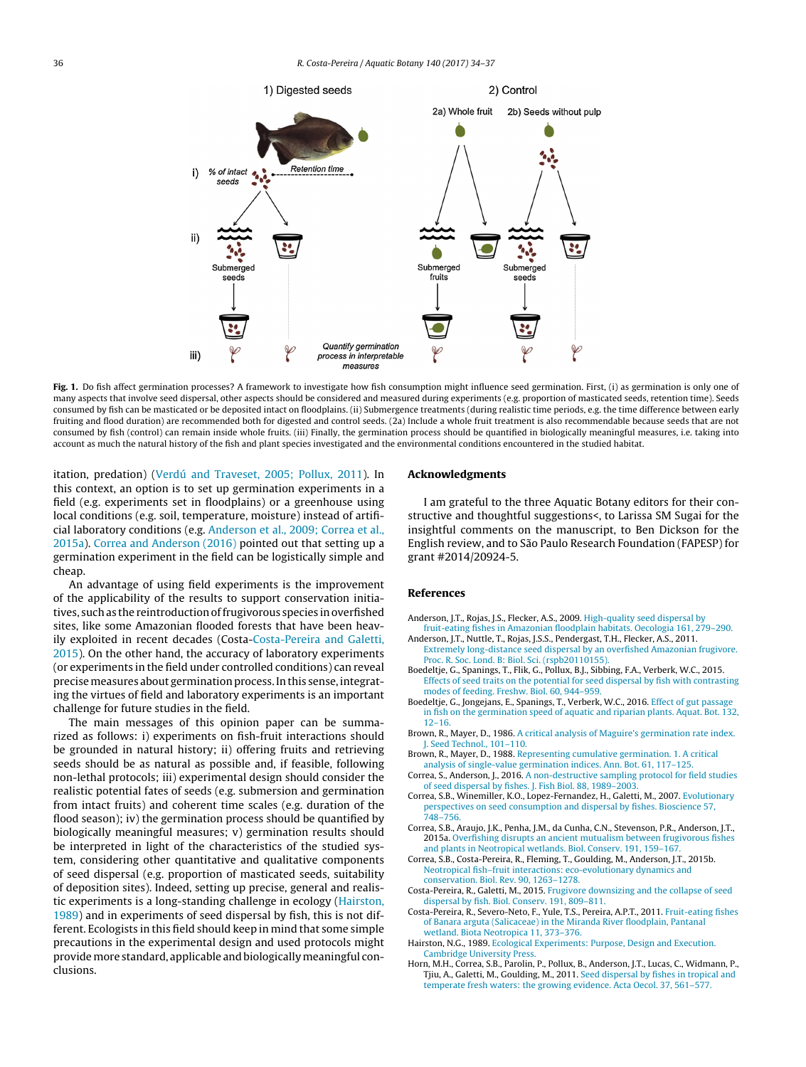<span id="page-2-0"></span>

Fig. 1. Do fish affect germination processes? A framework to investigate how fish consumption might influence seed germination. First, (i) as germination is only one of many aspects that involve seed dispersal, other aspects should be considered and measured during experiments (e.g. proportion of masticated seeds, retention time). Seeds consumed by fish can be masticated or be deposited intact on floodplains. (ii) Submergence treatments (during realistic time periods, e.g. the time difference between early fruiting and flood duration) are recommended both for digested and control seeds. (2a) Include a whole fruit treatment is also recommendable because seeds that are not consumed by fish (control) can remain inside whole fruits. (iii) Finally, the germination process should be quantified in biologically meaningful measures, i.e. taking into account as much the natural history of the fish and plant species investigated and the environmental conditions encountered in the studied habitat.

itation, predation) ([Verdú](#page-3-0) [and](#page-3-0) [Traveset,](#page-3-0) [2005;](#page-3-0) [Pollux,](#page-3-0) [2011\).](#page-3-0) In this context, an option is to set up germination experiments in a field (e.g. experiments set in floodplains) or a greenhouse using local conditions (e.g. soil, temperature, moisture) instead of artificial laboratory conditions (e.g. Anderson et al., 2009; Correa et al., 2015a). Correa and Anderson (2016) pointed out that setting up a germination experiment in the field can be logistically simple and cheap.

An advantage of using field experiments is the improvement of the applicability of the results to support conservation initiatives, such as the reintroduction of frugivorous species in overfished sites, like some Amazonian flooded forests that have been heavily exploited in recent decades (Costa-Costa-Pereira and Galetti, 2015). On the other hand, the accuracy of laboratory experiments (or experiments in the field under controlled conditions) can reveal precise measures about germination process. In this sense, integrating the virtues of field and laboratory experiments is an important challenge for future studies in the field.

The main messages of this opinion paper can be summarized as follows: i) experiments on fish-fruit interactions should be grounded in natural history; ii) offering fruits and retrieving seeds should be as natural as possible and, if feasible, following non-lethal protocols; iii) experimental design should consider the realistic potential fates of seeds (e.g. submersion and germination from intact fruits) and coherent time scales (e.g. duration of the flood season); iv) the germination process should be quantified by biologically meaningful measures; v) germination results should be interpreted in light of the characteristics of the studied system, considering other quantitative and qualitative components of seed dispersal (e.g. proportion of masticated seeds, suitability of deposition sites). Indeed, setting up precise, general and realistic experiments is a long-standing challenge in ecology (Hairston, 1989) and in experiments of seed dispersal by fish, this is not different. Ecologists in this field should keep in mind that some simple precautions in the experimental design and used protocols might provide more standard, applicable and biologically meaningful conclusions.

### **Acknowledgments**

I am grateful to the three Aquatic Botany editors for their constructive and thoughtful suggestions<, to Larissa SM Sugai for the insightful comments on the manuscript, to Ben Dickson for the English review, and to São Paulo Research Foundation (FAPESP) for grant #2014/20924-5.

#### **References**

- Anderson, J.T., Rojas, J.S., Flecker, A.S., 2009. [High-quality](http://refhub.elsevier.com/S0304-3770(17)30017-7/sbref0005) [seed](http://refhub.elsevier.com/S0304-3770(17)30017-7/sbref0005) [dispersal](http://refhub.elsevier.com/S0304-3770(17)30017-7/sbref0005) [by](http://refhub.elsevier.com/S0304-3770(17)30017-7/sbref0005) [fruit-eating](http://refhub.elsevier.com/S0304-3770(17)30017-7/sbref0005) [fishes](http://refhub.elsevier.com/S0304-3770(17)30017-7/sbref0005) [in](http://refhub.elsevier.com/S0304-3770(17)30017-7/sbref0005) [Amazonian](http://refhub.elsevier.com/S0304-3770(17)30017-7/sbref0005) [floodplain](http://refhub.elsevier.com/S0304-3770(17)30017-7/sbref0005) [habitats.](http://refhub.elsevier.com/S0304-3770(17)30017-7/sbref0005) [Oecologia](http://refhub.elsevier.com/S0304-3770(17)30017-7/sbref0005) [161,](http://refhub.elsevier.com/S0304-3770(17)30017-7/sbref0005) [279](http://refhub.elsevier.com/S0304-3770(17)30017-7/sbref0005)–[290.](http://refhub.elsevier.com/S0304-3770(17)30017-7/sbref0005)
- Anderson, J.T., Nuttle, T., Rojas, J.S.S., Pendergast, T.H., Flecker, A.S., 2011. [Extremely](http://refhub.elsevier.com/S0304-3770(17)30017-7/sbref0010) [long-distance](http://refhub.elsevier.com/S0304-3770(17)30017-7/sbref0010) [seed](http://refhub.elsevier.com/S0304-3770(17)30017-7/sbref0010) [dispersal](http://refhub.elsevier.com/S0304-3770(17)30017-7/sbref0010) [by](http://refhub.elsevier.com/S0304-3770(17)30017-7/sbref0010) [an](http://refhub.elsevier.com/S0304-3770(17)30017-7/sbref0010) [overfished](http://refhub.elsevier.com/S0304-3770(17)30017-7/sbref0010) [Amazonian](http://refhub.elsevier.com/S0304-3770(17)30017-7/sbref0010) [frugivore.](http://refhub.elsevier.com/S0304-3770(17)30017-7/sbref0010) [Proc.](http://refhub.elsevier.com/S0304-3770(17)30017-7/sbref0010) [R.](http://refhub.elsevier.com/S0304-3770(17)30017-7/sbref0010) [Soc.](http://refhub.elsevier.com/S0304-3770(17)30017-7/sbref0010) [Lond.](http://refhub.elsevier.com/S0304-3770(17)30017-7/sbref0010) [B:](http://refhub.elsevier.com/S0304-3770(17)30017-7/sbref0010) [Biol.](http://refhub.elsevier.com/S0304-3770(17)30017-7/sbref0010) [Sci.](http://refhub.elsevier.com/S0304-3770(17)30017-7/sbref0010) [\(rspb20110155\).](http://refhub.elsevier.com/S0304-3770(17)30017-7/sbref0010)
- Boedeltje, G., Spanings, T., Flik, G., Pollux, B.J., Sibbing, F.A., Verberk, W.C., 2015. [Effects](http://refhub.elsevier.com/S0304-3770(17)30017-7/sbref0015) [of](http://refhub.elsevier.com/S0304-3770(17)30017-7/sbref0015) [seed](http://refhub.elsevier.com/S0304-3770(17)30017-7/sbref0015) [traits](http://refhub.elsevier.com/S0304-3770(17)30017-7/sbref0015) [on](http://refhub.elsevier.com/S0304-3770(17)30017-7/sbref0015) [the](http://refhub.elsevier.com/S0304-3770(17)30017-7/sbref0015) [potential](http://refhub.elsevier.com/S0304-3770(17)30017-7/sbref0015) [for](http://refhub.elsevier.com/S0304-3770(17)30017-7/sbref0015) [seed](http://refhub.elsevier.com/S0304-3770(17)30017-7/sbref0015) [dispersal](http://refhub.elsevier.com/S0304-3770(17)30017-7/sbref0015) [by](http://refhub.elsevier.com/S0304-3770(17)30017-7/sbref0015) [fish](http://refhub.elsevier.com/S0304-3770(17)30017-7/sbref0015) [with](http://refhub.elsevier.com/S0304-3770(17)30017-7/sbref0015) [contrasting](http://refhub.elsevier.com/S0304-3770(17)30017-7/sbref0015) [modes](http://refhub.elsevier.com/S0304-3770(17)30017-7/sbref0015) [of](http://refhub.elsevier.com/S0304-3770(17)30017-7/sbref0015) [feeding.](http://refhub.elsevier.com/S0304-3770(17)30017-7/sbref0015) [Freshw.](http://refhub.elsevier.com/S0304-3770(17)30017-7/sbref0015) [Biol.](http://refhub.elsevier.com/S0304-3770(17)30017-7/sbref0015) [60,](http://refhub.elsevier.com/S0304-3770(17)30017-7/sbref0015) [944–959.](http://refhub.elsevier.com/S0304-3770(17)30017-7/sbref0015)
- Boedeltje, G., Jongejans, E., Spanings, T., Verberk, W.C., 2016. [Effect](http://refhub.elsevier.com/S0304-3770(17)30017-7/sbref0020) [of](http://refhub.elsevier.com/S0304-3770(17)30017-7/sbref0020) [gut](http://refhub.elsevier.com/S0304-3770(17)30017-7/sbref0020) [passage](http://refhub.elsevier.com/S0304-3770(17)30017-7/sbref0020) [in](http://refhub.elsevier.com/S0304-3770(17)30017-7/sbref0020) [fish](http://refhub.elsevier.com/S0304-3770(17)30017-7/sbref0020) [on](http://refhub.elsevier.com/S0304-3770(17)30017-7/sbref0020) [the](http://refhub.elsevier.com/S0304-3770(17)30017-7/sbref0020) [germination](http://refhub.elsevier.com/S0304-3770(17)30017-7/sbref0020) [speed](http://refhub.elsevier.com/S0304-3770(17)30017-7/sbref0020) [of](http://refhub.elsevier.com/S0304-3770(17)30017-7/sbref0020) [aquatic](http://refhub.elsevier.com/S0304-3770(17)30017-7/sbref0020) [and](http://refhub.elsevier.com/S0304-3770(17)30017-7/sbref0020) [riparian](http://refhub.elsevier.com/S0304-3770(17)30017-7/sbref0020) [plants.](http://refhub.elsevier.com/S0304-3770(17)30017-7/sbref0020) [Aquat.](http://refhub.elsevier.com/S0304-3770(17)30017-7/sbref0020) [Bot.](http://refhub.elsevier.com/S0304-3770(17)30017-7/sbref0020) [132,](http://refhub.elsevier.com/S0304-3770(17)30017-7/sbref0020) [12–16.](http://refhub.elsevier.com/S0304-3770(17)30017-7/sbref0020)
- Brown, R., Mayer, D., 1986. [A](http://refhub.elsevier.com/S0304-3770(17)30017-7/sbref0025) [critical](http://refhub.elsevier.com/S0304-3770(17)30017-7/sbref0025) [analysis](http://refhub.elsevier.com/S0304-3770(17)30017-7/sbref0025) [of](http://refhub.elsevier.com/S0304-3770(17)30017-7/sbref0025) [Maguire's](http://refhub.elsevier.com/S0304-3770(17)30017-7/sbref0025) [germination](http://refhub.elsevier.com/S0304-3770(17)30017-7/sbref0025) [rate](http://refhub.elsevier.com/S0304-3770(17)30017-7/sbref0025) [index.](http://refhub.elsevier.com/S0304-3770(17)30017-7/sbref0025) [J.](http://refhub.elsevier.com/S0304-3770(17)30017-7/sbref0025) [Seed](http://refhub.elsevier.com/S0304-3770(17)30017-7/sbref0025) [Technol.,](http://refhub.elsevier.com/S0304-3770(17)30017-7/sbref0025) [101–110.](http://refhub.elsevier.com/S0304-3770(17)30017-7/sbref0025)
- Brown, R., Mayer, D., 1988. [Representing](http://refhub.elsevier.com/S0304-3770(17)30017-7/sbref0030) [cumulative](http://refhub.elsevier.com/S0304-3770(17)30017-7/sbref0030) [germination.](http://refhub.elsevier.com/S0304-3770(17)30017-7/sbref0030) [1.](http://refhub.elsevier.com/S0304-3770(17)30017-7/sbref0030) [A](http://refhub.elsevier.com/S0304-3770(17)30017-7/sbref0030) [critical](http://refhub.elsevier.com/S0304-3770(17)30017-7/sbref0030) [analysis](http://refhub.elsevier.com/S0304-3770(17)30017-7/sbref0030) [of](http://refhub.elsevier.com/S0304-3770(17)30017-7/sbref0030) [single-value](http://refhub.elsevier.com/S0304-3770(17)30017-7/sbref0030) [germination](http://refhub.elsevier.com/S0304-3770(17)30017-7/sbref0030) [indices.](http://refhub.elsevier.com/S0304-3770(17)30017-7/sbref0030) [Ann.](http://refhub.elsevier.com/S0304-3770(17)30017-7/sbref0030) [Bot.](http://refhub.elsevier.com/S0304-3770(17)30017-7/sbref0030) [61,](http://refhub.elsevier.com/S0304-3770(17)30017-7/sbref0030) [117–125.](http://refhub.elsevier.com/S0304-3770(17)30017-7/sbref0030)
- Correa, S., Anderson, J., 2016. [A](http://refhub.elsevier.com/S0304-3770(17)30017-7/sbref0035) [non-destructive](http://refhub.elsevier.com/S0304-3770(17)30017-7/sbref0035) [sampling](http://refhub.elsevier.com/S0304-3770(17)30017-7/sbref0035) [protocol](http://refhub.elsevier.com/S0304-3770(17)30017-7/sbref0035) [for](http://refhub.elsevier.com/S0304-3770(17)30017-7/sbref0035) [field](http://refhub.elsevier.com/S0304-3770(17)30017-7/sbref0035) [studies](http://refhub.elsevier.com/S0304-3770(17)30017-7/sbref0035) [of](http://refhub.elsevier.com/S0304-3770(17)30017-7/sbref0035) [seed](http://refhub.elsevier.com/S0304-3770(17)30017-7/sbref0035) [dispersal](http://refhub.elsevier.com/S0304-3770(17)30017-7/sbref0035) [by](http://refhub.elsevier.com/S0304-3770(17)30017-7/sbref0035) [fishes.](http://refhub.elsevier.com/S0304-3770(17)30017-7/sbref0035) [J.](http://refhub.elsevier.com/S0304-3770(17)30017-7/sbref0035) [Fish](http://refhub.elsevier.com/S0304-3770(17)30017-7/sbref0035) [Biol.](http://refhub.elsevier.com/S0304-3770(17)30017-7/sbref0035) [88,](http://refhub.elsevier.com/S0304-3770(17)30017-7/sbref0035) [1989–2003.](http://refhub.elsevier.com/S0304-3770(17)30017-7/sbref0035)
- Correa, S.B., Winemiller, K.O., Lopez-Fernandez, H., Galetti, M., 2007. [Evolutionary](http://refhub.elsevier.com/S0304-3770(17)30017-7/sbref0040) [perspectives](http://refhub.elsevier.com/S0304-3770(17)30017-7/sbref0040) [on](http://refhub.elsevier.com/S0304-3770(17)30017-7/sbref0040) [seed](http://refhub.elsevier.com/S0304-3770(17)30017-7/sbref0040) [consumption](http://refhub.elsevier.com/S0304-3770(17)30017-7/sbref0040) [and](http://refhub.elsevier.com/S0304-3770(17)30017-7/sbref0040) [dispersal](http://refhub.elsevier.com/S0304-3770(17)30017-7/sbref0040) [by](http://refhub.elsevier.com/S0304-3770(17)30017-7/sbref0040) [fishes.](http://refhub.elsevier.com/S0304-3770(17)30017-7/sbref0040) [Bioscience](http://refhub.elsevier.com/S0304-3770(17)30017-7/sbref0040) [57,](http://refhub.elsevier.com/S0304-3770(17)30017-7/sbref0040) [748–756.](http://refhub.elsevier.com/S0304-3770(17)30017-7/sbref0040)
- Correa, S.B., Araujo, J.K., Penha, J.M., da Cunha, C.N., Stevenson, P.R., Anderson, J.T., 2015a. [Overfishing](http://refhub.elsevier.com/S0304-3770(17)30017-7/sbref0045) [disrupts](http://refhub.elsevier.com/S0304-3770(17)30017-7/sbref0045) [an](http://refhub.elsevier.com/S0304-3770(17)30017-7/sbref0045) [ancient](http://refhub.elsevier.com/S0304-3770(17)30017-7/sbref0045) [mutualism](http://refhub.elsevier.com/S0304-3770(17)30017-7/sbref0045) [between](http://refhub.elsevier.com/S0304-3770(17)30017-7/sbref0045) [frugivorous](http://refhub.elsevier.com/S0304-3770(17)30017-7/sbref0045) [fishes](http://refhub.elsevier.com/S0304-3770(17)30017-7/sbref0045) [and](http://refhub.elsevier.com/S0304-3770(17)30017-7/sbref0045) [plants](http://refhub.elsevier.com/S0304-3770(17)30017-7/sbref0045) [in](http://refhub.elsevier.com/S0304-3770(17)30017-7/sbref0045) [Neotropical](http://refhub.elsevier.com/S0304-3770(17)30017-7/sbref0045) [wetlands.](http://refhub.elsevier.com/S0304-3770(17)30017-7/sbref0045) [Biol.](http://refhub.elsevier.com/S0304-3770(17)30017-7/sbref0045) [Conserv.](http://refhub.elsevier.com/S0304-3770(17)30017-7/sbref0045) [191,](http://refhub.elsevier.com/S0304-3770(17)30017-7/sbref0045) [159–167.](http://refhub.elsevier.com/S0304-3770(17)30017-7/sbref0045)
- Correa, S.B., Costa-Pereira, R., Fleming, T., Goulding, M., Anderson, J.T., 2015b. [Neotropical](http://refhub.elsevier.com/S0304-3770(17)30017-7/sbref0050) [fish–fruit](http://refhub.elsevier.com/S0304-3770(17)30017-7/sbref0050) [interactions:](http://refhub.elsevier.com/S0304-3770(17)30017-7/sbref0050) [eco-evolutionary](http://refhub.elsevier.com/S0304-3770(17)30017-7/sbref0050) [dynamics](http://refhub.elsevier.com/S0304-3770(17)30017-7/sbref0050) [and](http://refhub.elsevier.com/S0304-3770(17)30017-7/sbref0050) [conservation.](http://refhub.elsevier.com/S0304-3770(17)30017-7/sbref0050) [Biol.](http://refhub.elsevier.com/S0304-3770(17)30017-7/sbref0050) [Rev.](http://refhub.elsevier.com/S0304-3770(17)30017-7/sbref0050) [90,](http://refhub.elsevier.com/S0304-3770(17)30017-7/sbref0050) [1263](http://refhub.elsevier.com/S0304-3770(17)30017-7/sbref0050)–[1278.](http://refhub.elsevier.com/S0304-3770(17)30017-7/sbref0050)
- Costa-Pereira, R., Galetti, M., 2015. [Frugivore](http://refhub.elsevier.com/S0304-3770(17)30017-7/sbref0055) [downsizing](http://refhub.elsevier.com/S0304-3770(17)30017-7/sbref0055) [and](http://refhub.elsevier.com/S0304-3770(17)30017-7/sbref0055) [the](http://refhub.elsevier.com/S0304-3770(17)30017-7/sbref0055) [collapse](http://refhub.elsevier.com/S0304-3770(17)30017-7/sbref0055) [of](http://refhub.elsevier.com/S0304-3770(17)30017-7/sbref0055) [seed](http://refhub.elsevier.com/S0304-3770(17)30017-7/sbref0055) [dispersal](http://refhub.elsevier.com/S0304-3770(17)30017-7/sbref0055) [by](http://refhub.elsevier.com/S0304-3770(17)30017-7/sbref0055) [fish.](http://refhub.elsevier.com/S0304-3770(17)30017-7/sbref0055) [Biol.](http://refhub.elsevier.com/S0304-3770(17)30017-7/sbref0055) [Conserv.](http://refhub.elsevier.com/S0304-3770(17)30017-7/sbref0055) [191,](http://refhub.elsevier.com/S0304-3770(17)30017-7/sbref0055) [809–811.](http://refhub.elsevier.com/S0304-3770(17)30017-7/sbref0055)
- Costa-Pereira, R., Severo-Neto, F., Yule, T.S., Pereira, A.P.T., 2011. [Fruit-eating](http://refhub.elsevier.com/S0304-3770(17)30017-7/sbref0060) [fishes](http://refhub.elsevier.com/S0304-3770(17)30017-7/sbref0060) [of](http://refhub.elsevier.com/S0304-3770(17)30017-7/sbref0060) [Banara](http://refhub.elsevier.com/S0304-3770(17)30017-7/sbref0060) [arguta](http://refhub.elsevier.com/S0304-3770(17)30017-7/sbref0060) [\(Salicaceae\)](http://refhub.elsevier.com/S0304-3770(17)30017-7/sbref0060) [in](http://refhub.elsevier.com/S0304-3770(17)30017-7/sbref0060) [the](http://refhub.elsevier.com/S0304-3770(17)30017-7/sbref0060) [Miranda](http://refhub.elsevier.com/S0304-3770(17)30017-7/sbref0060) [River](http://refhub.elsevier.com/S0304-3770(17)30017-7/sbref0060) [floodplain,](http://refhub.elsevier.com/S0304-3770(17)30017-7/sbref0060) [Pantanal](http://refhub.elsevier.com/S0304-3770(17)30017-7/sbref0060) [wetland.](http://refhub.elsevier.com/S0304-3770(17)30017-7/sbref0060) [Biota](http://refhub.elsevier.com/S0304-3770(17)30017-7/sbref0060) [Neotropica](http://refhub.elsevier.com/S0304-3770(17)30017-7/sbref0060) [11,](http://refhub.elsevier.com/S0304-3770(17)30017-7/sbref0060) [373](http://refhub.elsevier.com/S0304-3770(17)30017-7/sbref0060)–[376.](http://refhub.elsevier.com/S0304-3770(17)30017-7/sbref0060)
- Hairston, N.G., 1989. [Ecological](http://refhub.elsevier.com/S0304-3770(17)30017-7/sbref0065) [Experiments:](http://refhub.elsevier.com/S0304-3770(17)30017-7/sbref0065) [Purpose,](http://refhub.elsevier.com/S0304-3770(17)30017-7/sbref0065) [Design](http://refhub.elsevier.com/S0304-3770(17)30017-7/sbref0065) [and](http://refhub.elsevier.com/S0304-3770(17)30017-7/sbref0065) [Execution.](http://refhub.elsevier.com/S0304-3770(17)30017-7/sbref0065) [Cambridge](http://refhub.elsevier.com/S0304-3770(17)30017-7/sbref0065) [University](http://refhub.elsevier.com/S0304-3770(17)30017-7/sbref0065) [Press.](http://refhub.elsevier.com/S0304-3770(17)30017-7/sbref0065)
- Horn, M.H., Correa, S.B., Parolin, P., Pollux, B., Anderson, J.T., Lucas, C., Widmann, P., Tjiu, A., Galetti, M., Goulding, M., 2011. [Seed](http://refhub.elsevier.com/S0304-3770(17)30017-7/sbref0070) [dispersal](http://refhub.elsevier.com/S0304-3770(17)30017-7/sbref0070) [by](http://refhub.elsevier.com/S0304-3770(17)30017-7/sbref0070) [fishes](http://refhub.elsevier.com/S0304-3770(17)30017-7/sbref0070) [in](http://refhub.elsevier.com/S0304-3770(17)30017-7/sbref0070) [tropical](http://refhub.elsevier.com/S0304-3770(17)30017-7/sbref0070) [and](http://refhub.elsevier.com/S0304-3770(17)30017-7/sbref0070) [temperate](http://refhub.elsevier.com/S0304-3770(17)30017-7/sbref0070) [fresh](http://refhub.elsevier.com/S0304-3770(17)30017-7/sbref0070) [waters:](http://refhub.elsevier.com/S0304-3770(17)30017-7/sbref0070) [the](http://refhub.elsevier.com/S0304-3770(17)30017-7/sbref0070) [growing](http://refhub.elsevier.com/S0304-3770(17)30017-7/sbref0070) [evidence.](http://refhub.elsevier.com/S0304-3770(17)30017-7/sbref0070) [Acta](http://refhub.elsevier.com/S0304-3770(17)30017-7/sbref0070) [Oecol.](http://refhub.elsevier.com/S0304-3770(17)30017-7/sbref0070) [37,](http://refhub.elsevier.com/S0304-3770(17)30017-7/sbref0070) [561](http://refhub.elsevier.com/S0304-3770(17)30017-7/sbref0070)–[577.](http://refhub.elsevier.com/S0304-3770(17)30017-7/sbref0070)